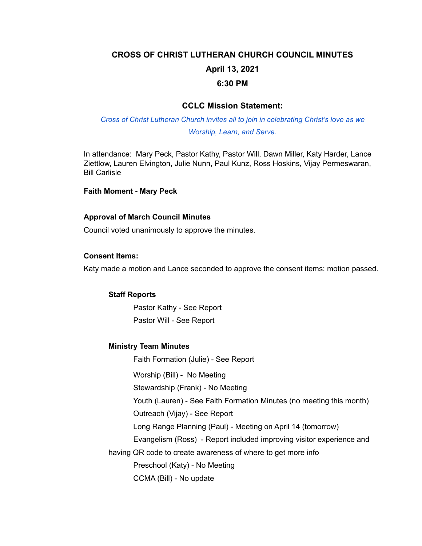# **CROSS OF CHRIST LUTHERAN CHURCH COUNCIL MINUTES April 13, 2021 6:30 PM**

# **CCLC Mission Statement:**

# *Cross of Christ Lutheran Church invites all to join in celebrating Christ's love as we Worship, Learn, and Serve.*

In attendance: Mary Peck, Pastor Kathy, Pastor Will, Dawn Miller, Katy Harder, Lance Ziettlow, Lauren Elvington, Julie Nunn, Paul Kunz, Ross Hoskins, Vijay Permeswaran, Bill Carlisle

#### **Faith Moment - Mary Peck**

#### **Approval of March Council Minutes**

Council voted unanimously to approve the minutes.

#### **Consent Items:**

Katy made a motion and Lance seconded to approve the consent items; motion passed.

#### **Staff Reports**

Pastor Kathy - See Report Pastor Will - See Report

### **Ministry Team Minutes**

Faith Formation (Julie) - See Report

Worship (Bill) - No Meeting

Stewardship (Frank) - No Meeting

Youth (Lauren) - See Faith Formation Minutes (no meeting this month)

Outreach (Vijay) - See Report

Long Range Planning (Paul) - Meeting on April 14 (tomorrow)

Evangelism (Ross) - Report included improving visitor experience and

having QR code to create awareness of where to get more info

Preschool (Katy) - No Meeting

CCMA (Bill) - No update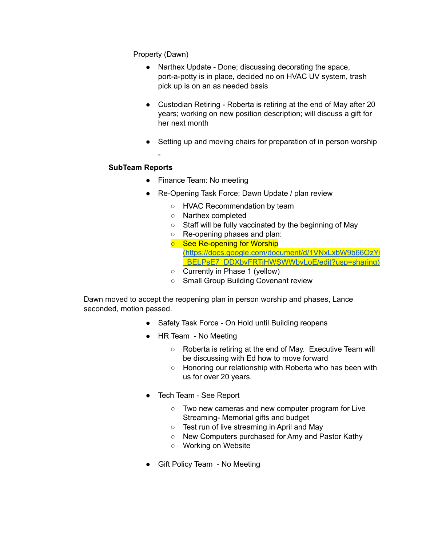Property (Dawn)

- Narthex Update Done; discussing decorating the space, port-a-potty is in place, decided no on HVAC UV system, trash pick up is on an as needed basis
- Custodian Retiring Roberta is retiring at the end of May after 20 years; working on new position description; will discuss a gift for her next month
- Setting up and moving chairs for preparation of in person worship

# **SubTeam Reports**

-

- Finance Team: No meeting
- Re-Opening Task Force: Dawn Update / plan review
	- HVAC Recommendation by team
	- Narthex completed
	- Staff will be fully vaccinated by the beginning of May
	- Re-opening phases and plan:
	- See Re-opening for Worship [\(https://docs.google.com/document/d/1VNxLxbW9b66OzYi](https://docs.google.com/document/d/1VNxLxbW9b66OzYi_BELPsE7_DDXbvFRTiHWSWWbvLoE/edit?usp=sharing)) [\\_BELPsE7\\_DDXbvFRTiHWSWWbvLoE/edit?usp=sharing\)](https://docs.google.com/document/d/1VNxLxbW9b66OzYi_BELPsE7_DDXbvFRTiHWSWWbvLoE/edit?usp=sharing))
	- Currently in Phase 1 (yellow)
	- Small Group Building Covenant review

Dawn moved to accept the reopening plan in person worship and phases, Lance seconded, motion passed.

- Safety Task Force On Hold until Building reopens
- HR Team No Meeting
	- Roberta is retiring at the end of May. Executive Team will be discussing with Ed how to move forward
	- Honoring our relationship with Roberta who has been with us for over 20 years.
- Tech Team See Report
	- Two new cameras and new computer program for Live Streaming- Memorial gifts and budget
	- Test run of live streaming in April and May
	- New Computers purchased for Amy and Pastor Kathy
	- Working on Website
- Gift Policy Team No Meeting